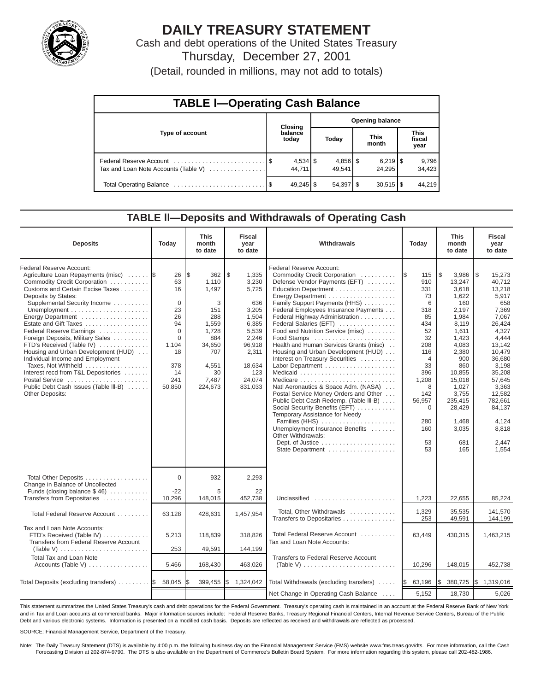

# **DAILY TREASURY STATEMENT**

Cash and debt operations of the United States Treasury Thursday, December 27, 2001

(Detail, rounded in millions, may not add to totals)

| <b>TABLE I-Operating Cash Balance</b> |  |                  |                        |                                 |  |                                 |  |                               |  |  |
|---------------------------------------|--|------------------|------------------------|---------------------------------|--|---------------------------------|--|-------------------------------|--|--|
|                                       |  | Closing          | <b>Opening balance</b> |                                 |  |                                 |  |                               |  |  |
| Type of account                       |  | balance<br>today |                        | Today                           |  | <b>This</b><br>month            |  | <b>This</b><br>fiscal<br>year |  |  |
| Tax and Loan Note Accounts (Table V)  |  | 44.711           |                        | $4,856$ $\frac{1}{3}$<br>49.541 |  | $6,219$ $\frac{8}{3}$<br>24.295 |  | 9,796<br>34,423               |  |  |
|                                       |  | $49,245$ \$      |                        | $54,397$ \$                     |  | $30,515$ $\frac{1}{3}$          |  | 44.219                        |  |  |

### **TABLE ll—Deposits and Withdrawals of Operating Cash**

| <b>Deposits</b>                                                                                                                                                                                                                                                                                                                                                                                                                                                                                                                                                    | Today                                                                                                             | <b>This</b><br>month<br>to date                                                                                              | <b>Fiscal</b><br>year<br>to date                                                                                                           | Withdrawals                                                                                                                                                                                                                                                                                                                                                                                                                                                                                                                                                                                                                                                                                                                                                                        |                                                                                                                                                                                       | <b>This</b><br>month<br>to date                                                                                                                                                                                         | <b>Fiscal</b><br>year<br>to date                                                                                                                                                                                                        |
|--------------------------------------------------------------------------------------------------------------------------------------------------------------------------------------------------------------------------------------------------------------------------------------------------------------------------------------------------------------------------------------------------------------------------------------------------------------------------------------------------------------------------------------------------------------------|-------------------------------------------------------------------------------------------------------------------|------------------------------------------------------------------------------------------------------------------------------|--------------------------------------------------------------------------------------------------------------------------------------------|------------------------------------------------------------------------------------------------------------------------------------------------------------------------------------------------------------------------------------------------------------------------------------------------------------------------------------------------------------------------------------------------------------------------------------------------------------------------------------------------------------------------------------------------------------------------------------------------------------------------------------------------------------------------------------------------------------------------------------------------------------------------------------|---------------------------------------------------------------------------------------------------------------------------------------------------------------------------------------|-------------------------------------------------------------------------------------------------------------------------------------------------------------------------------------------------------------------------|-----------------------------------------------------------------------------------------------------------------------------------------------------------------------------------------------------------------------------------------|
| Federal Reserve Account:<br>Agriculture Loan Repayments (misc)<br>Commodity Credit Corporation<br>Customs and Certain Excise Taxes<br>Deposits by States:<br>Supplemental Security Income<br>Energy Department<br>Estate and Gift Taxes<br>Federal Reserve Earnings<br>Foreign Deposits, Military Sales<br>FTD's Received (Table IV)<br>Housing and Urban Development (HUD)<br>Individual Income and Employment<br>Taxes, Not Withheld<br>Interest recd from T&L Depositories<br>Postal Service<br>Public Debt Cash Issues (Table III-B)<br><b>Other Deposits:</b> | 26<br>63<br>16<br>$\Omega$<br>23<br>26<br>94<br>$\Omega$<br>$\Omega$<br>1,104<br>18<br>378<br>14<br>241<br>50,850 | l\$<br>362<br>1,110<br>1.497<br>3<br>151<br>288<br>1,559<br>1,728<br>884<br>34,650<br>707<br>4,551<br>30<br>7,487<br>224,673 | \$<br>1,335<br>3,230<br>5,725<br>636<br>3,205<br>1,504<br>6,385<br>5,539<br>2,246<br>96,918<br>2,311<br>18,634<br>123<br>24,074<br>831,033 | Federal Reserve Account:<br>Commodity Credit Corporation<br>Defense Vendor Payments (EFT)<br>Education Department<br>Energy Department<br>Family Support Payments (HHS)<br>Federal Employees Insurance Payments<br>Federal Highway Administration<br>Federal Salaries (EFT)<br>Food and Nutrition Service (misc)<br>Food Stamps<br>Health and Human Services Grants (misc)<br>Housing and Urban Development (HUD)<br>Interest on Treasury Securities<br>Labor Department<br>Medicare<br>Natl Aeronautics & Space Adm. (NASA)<br>Postal Service Money Orders and Other<br>Public Debt Cash Redemp. (Table III-B)<br>Social Security Benefits (EFT)<br>Temporary Assistance for Needy<br>Families (HHS)<br>Unemployment Insurance Benefits<br>Other Withdrawals:<br>State Department | 115<br>I\$<br>910<br>331<br>73<br>6<br>318<br>85<br>434<br>52<br>32<br>208<br>116<br>$\overline{4}$<br>33<br>396<br>1,208<br>8<br>142<br>56,957<br>$\Omega$<br>280<br>160<br>53<br>53 | l\$<br>3,986<br>13,247<br>3.618<br>1,622<br>160<br>2,197<br>1,984<br>8.119<br>1,611<br>1,423<br>4,083<br>2,380<br>900<br>860<br>10,855<br>15,018<br>1,027<br>3,755<br>235,415<br>28,429<br>1.468<br>3,035<br>681<br>165 | l \$<br>15,273<br>40.712<br>13.218<br>5,917<br>658<br>7,369<br>7,067<br>26.424<br>4,327<br>4,444<br>13,142<br>10,479<br>36,680<br>3,198<br>35,208<br>57,645<br>3,363<br>12,582<br>782,661<br>84,137<br>4,124<br>8,818<br>2,447<br>1,554 |
| Total Other Deposits<br>Change in Balance of Uncollected<br>Funds (closing balance $$46$ )                                                                                                                                                                                                                                                                                                                                                                                                                                                                         | $\Omega$<br>$-22$                                                                                                 | 932<br>5                                                                                                                     | 2,293<br>22                                                                                                                                |                                                                                                                                                                                                                                                                                                                                                                                                                                                                                                                                                                                                                                                                                                                                                                                    |                                                                                                                                                                                       |                                                                                                                                                                                                                         |                                                                                                                                                                                                                                         |
| Transfers from Depositaries                                                                                                                                                                                                                                                                                                                                                                                                                                                                                                                                        | 10,296                                                                                                            | 148,015                                                                                                                      | 452,738                                                                                                                                    | Unclassified                                                                                                                                                                                                                                                                                                                                                                                                                                                                                                                                                                                                                                                                                                                                                                       | 1,223                                                                                                                                                                                 | 22,655                                                                                                                                                                                                                  | 85,224                                                                                                                                                                                                                                  |
| Total Federal Reserve Account                                                                                                                                                                                                                                                                                                                                                                                                                                                                                                                                      | 63,128                                                                                                            | 428,631                                                                                                                      | 1,457,954                                                                                                                                  | Total, Other Withdrawals<br>Transfers to Depositaries                                                                                                                                                                                                                                                                                                                                                                                                                                                                                                                                                                                                                                                                                                                              | 1,329<br>253                                                                                                                                                                          | 35,535<br>49,591                                                                                                                                                                                                        | 141.570<br>144,199                                                                                                                                                                                                                      |
| Tax and Loan Note Accounts:<br>FTD's Received (Table IV)<br>Transfers from Federal Reserve Account                                                                                                                                                                                                                                                                                                                                                                                                                                                                 | 5,213                                                                                                             | 118,839                                                                                                                      | 318,826                                                                                                                                    | Total Federal Reserve Account<br>Tax and Loan Note Accounts:                                                                                                                                                                                                                                                                                                                                                                                                                                                                                                                                                                                                                                                                                                                       | 63,449                                                                                                                                                                                | 430,315                                                                                                                                                                                                                 | 1,463,215                                                                                                                                                                                                                               |
| <b>Total Tax and Loan Note</b><br>Accounts (Table V)                                                                                                                                                                                                                                                                                                                                                                                                                                                                                                               | 253<br>5,466                                                                                                      | 49,591<br>168,430                                                                                                            | 144,199<br>463,026                                                                                                                         | <b>Transfers to Federal Reserve Account</b><br>(Table V) $\ldots \ldots \ldots \ldots \ldots \ldots \ldots \ldots \ldots$                                                                                                                                                                                                                                                                                                                                                                                                                                                                                                                                                                                                                                                          | 10,296                                                                                                                                                                                | 148,015                                                                                                                                                                                                                 | 452,738                                                                                                                                                                                                                                 |
| Total Deposits (excluding transfers)  \$                                                                                                                                                                                                                                                                                                                                                                                                                                                                                                                           | 58,045                                                                                                            | 399,455                                                                                                                      | \$1,324,042                                                                                                                                | Total Withdrawals (excluding transfers)                                                                                                                                                                                                                                                                                                                                                                                                                                                                                                                                                                                                                                                                                                                                            | <b>S</b><br>63,196                                                                                                                                                                    | l\$<br>380,725                                                                                                                                                                                                          | \$1,319,016                                                                                                                                                                                                                             |
|                                                                                                                                                                                                                                                                                                                                                                                                                                                                                                                                                                    |                                                                                                                   |                                                                                                                              |                                                                                                                                            | Net Change in Operating Cash Balance                                                                                                                                                                                                                                                                                                                                                                                                                                                                                                                                                                                                                                                                                                                                               | $-5,152$                                                                                                                                                                              | 18,730                                                                                                                                                                                                                  | 5,026                                                                                                                                                                                                                                   |

This statement summarizes the United States Treasury's cash and debt operations for the Federal Government. Treasury's operating cash is maintained in an account at the Federal Reserve Bank of New York and in Tax and Loan accounts at commercial banks. Major information sources include: Federal Reserve Banks, Treasury Regional Financial Centers, Internal Revenue Service Centers, Bureau of the Public Debt and various electronic systems. Information is presented on a modified cash basis. Deposits are reflected as received and withdrawals are reflected as processed.

SOURCE: Financial Management Service, Department of the Treasury.

Note: The Daily Treasury Statement (DTS) is available by 4:00 p.m. the following business day on the Financial Management Service (FMS) website www.fms.treas.gov/dts. For more information, call the Cash<br>Forecasting Divisio